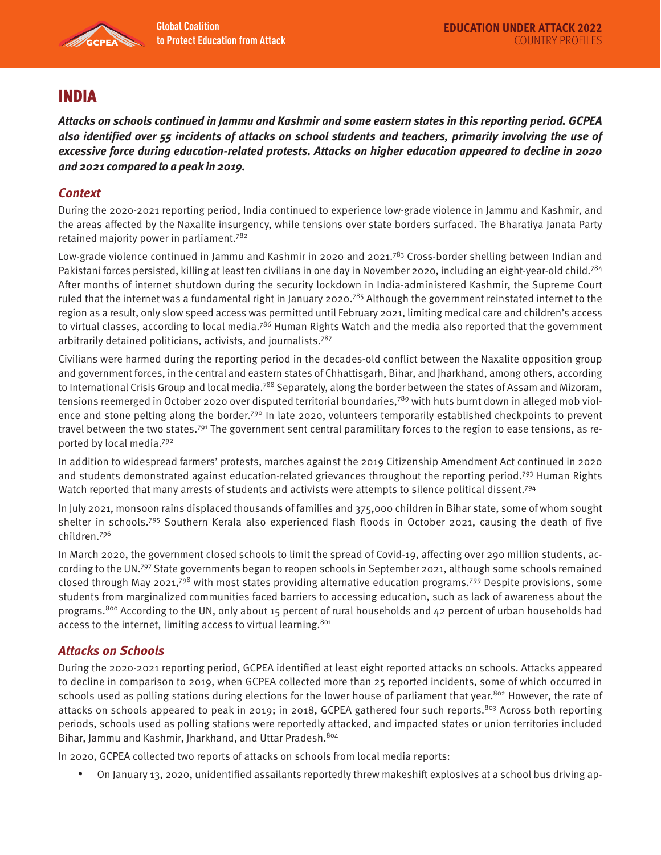

# INDIA

**Attacks on schools continued in Jammu and Kashmir and some eastern states in this reporting period. GCPEA also identified over 55 incidents of attacks on school students and teachers, primarily involving the use of excessive force during education-related protests. Attacks on higher education appeared to decline in 2020 and 2021 compared to a peak in 2019.** 

### **Context**

During the 2020-2021 reporting period, India continued to experience low-grade violence in Jammu and Kashmir, and the areas affected by the Naxalite insurgency, while tensions over state borders surfaced. The Bharatiya Janata Party retained majority power in parliament.782

Low-grade violence continued in Jammu and Kashmir in 2020 and 2021.<sup>783</sup> Cross-border shelling between Indian and Pakistani forces persisted, killing at least ten civilians in one day in November 2020, including an eight-year-old child.784 After months of internet shutdown during the security lockdown in India-administered Kashmir, the Supreme Court ruled that the internet was a fundamental right in January 2020.<sup>785</sup> Although the government reinstated internet to the region as a result, only slow speed access was permitted until February 2021, limiting medical care and children's access to virtual classes, according to local media.<sup>786</sup> Human Rights Watch and the media also reported that the government arbitrarily detained politicians, activists, and journalists.787

Civilians were harmed during the reporting period in the decades-old conflict between the Naxalite opposition group and government forces, in the central and eastern states of Chhattisgarh, Bihar, and Jharkhand, among others, according to International Crisis Group and local media.<sup>788</sup> Separately, along the border between the states of Assam and Mizoram, tensions reemerged in October 2020 over disputed territorial boundaries,<sup>789</sup> with huts burnt down in alleged mob violence and stone pelting along the border.<sup>790</sup> In late 2020, volunteers temporarily established checkpoints to prevent travel between the two states.791 The government sent central paramilitary forces to the region to ease tensions, as reported by local media.792

In addition to widespread farmers' protests, marches against the 2019 Citizenship Amendment Act continued in 2020 and students demonstrated against education-related grievances throughout the reporting period.793 Human Rights Watch reported that many arrests of students and activists were attempts to silence political dissent.<sup>794</sup>

In July 2021, monsoon rains displaced thousands of families and 375,000 children in Bihar state, some of whom sought shelter in schools.795 Southern Kerala also experienced flash floods in October 2021, causing the death of five children.796

In March 2020, the government closed schools to limit the spread of Covid-19, affecting over 290 million students, according to the UN.797 State governments began to reopen schools in September 2021, although some schools remained closed through May 2021,<sup>798</sup> with most states providing alternative education programs.<sup>799</sup> Despite provisions, some students from marginalized communities faced barriers to accessing education, such as lack of awareness about the programs.<sup>800</sup> According to the UN, only about 15 percent of rural households and 42 percent of urban households had access to the internet, limiting access to virtual learning.<sup>801</sup>

#### **Attacks on Schools**

During the 2020-2021 reporting period, GCPEA identified at least eight reported attacks on schools. Attacks appeared to decline in comparison to 2019, when GCPEA collected more than 25 reported incidents, some of which occurred in schools used as polling stations during elections for the lower house of parliament that year.<sup>802</sup> However, the rate of attacks on schools appeared to peak in 2019; in 2018, GCPEA gathered four such reports.<sup>803</sup> Across both reporting periods, schools used as polling stations were reportedly attacked, and impacted states or union territories included Bihar, Jammu and Kashmir, Jharkhand, and Uttar Pradesh.<sup>804</sup>

In 2020, GCPEA collected two reports of attacks on schools from local media reports:

• On January 13, 2020, unidentified assailants reportedly threw makeshift explosives at a school bus driving ap-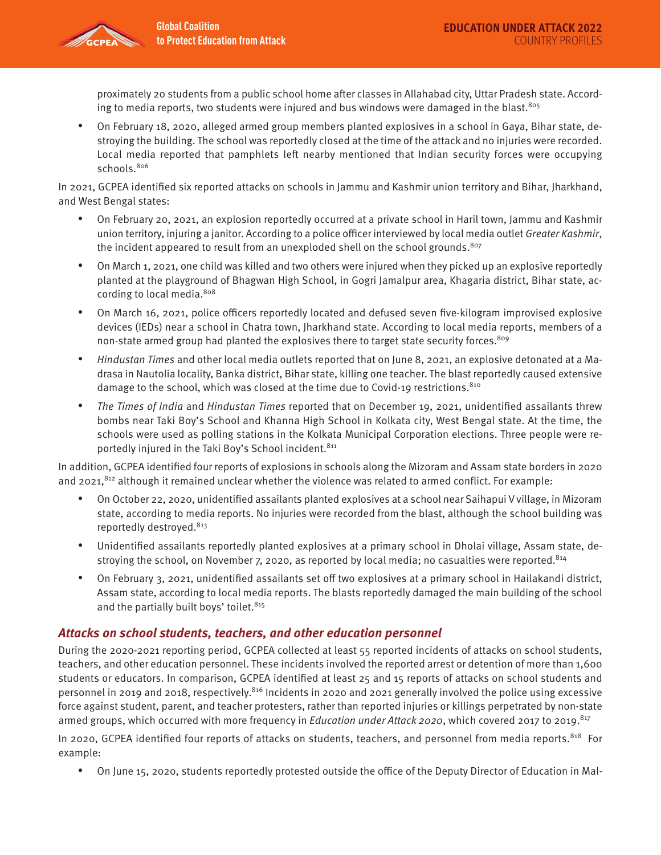proximately 20 students from a public school home after classes in Allahabad city, Uttar Pradesh state. According to media reports, two students were injured and bus windows were damaged in the blast.<sup>805</sup>

• On February 18, 2020, alleged armed group members planted explosives in a school in Gaya, Bihar state, destroying the building. The school was reportedly closed at the time of the attack and no injuries were recorded. Local media reported that pamphlets left nearby mentioned that Indian security forces were occupying schools.<sup>806</sup>

In 2021, GCPEA identified six reported attacks on schools in Jammu and Kashmir union territory and Bihar, Jharkhand, and West Bengal states:

- On February 20, 2021, an explosion reportedly occurred at a private school in Haril town, Jammu and Kashmir union territory, injuring a janitor. According to a police officer interviewed by local media outlet Greater Kashmir, the incident appeared to result from an unexploded shell on the school grounds.<sup>807</sup>
- On March 1, 2021, one child was killed and two others were injured when they picked up an explosive reportedly planted at the playground of Bhagwan High School, in Gogri Jamalpur area, Khagaria district, Bihar state, according to local media.<sup>808</sup>
- On March 16, 2021, police officers reportedly located and defused seven five-kilogram improvised explosive devices (IEDs) near a school in Chatra town, Jharkhand state. According to local media reports, members of a non-state armed group had planted the explosives there to target state security forces.<sup>809</sup>
- Hindustan Times and other local media outlets reported that on June 8, 2021, an explosive detonated at a Madrasa in Nautolia locality, Banka district, Bihar state, killing one teacher. The blast reportedly caused extensive damage to the school, which was closed at the time due to Covid-19 restrictions.810
- The Times of India and Hindustan Times reported that on December 19, 2021, unidentified assailants threw bombs near Taki Boy's School and Khanna High School in Kolkata city, West Bengal state. At the time, the schools were used as polling stations in the Kolkata Municipal Corporation elections. Three people were reportedly injured in the Taki Boy's School incident.<sup>811</sup>

In addition, GCPEA identified four reports of explosions in schools along the Mizoram and Assam state borders in 2020 and 2021,<sup>812</sup> although it remained unclear whether the violence was related to armed conflict. For example:

- On October 22, 2020, unidentified assailants planted explosives at a school near Saihapui V village, in Mizoram state, according to media reports. No injuries were recorded from the blast, although the school building was reportedly destroyed.<sup>813</sup>
- Unidentified assailants reportedly planted explosives at a primary school in Dholai village, Assam state, destroying the school, on November 7, 2020, as reported by local media; no casualties were reported.<sup>814</sup>
- On February 3, 2021, unidentified assailants set off two explosives at a primary school in Hailakandi district, Assam state, according to local media reports. The blasts reportedly damaged the main building of the school and the partially built boys' toilet.<sup>815</sup>

#### **Attacks on school students, teachers, and other education personnel**

During the 2020-2021 reporting period, GCPEA collected at least 55 reported incidents of attacks on school students, teachers, and other education personnel. These incidents involved the reported arrest or detention of more than 1,600 students or educators. In comparison, GCPEA identified at least 25 and 15 reports of attacks on school students and personnel in 2019 and 2018, respectively.<sup>816</sup> Incidents in 2020 and 2021 generally involved the police using excessive force against student, parent, and teacher protesters, rather than reported injuries or killings perpetrated by non-state armed groups, which occurred with more frequency in *Education under Attack 2020*, which covered 2017 to 2019.<sup>817</sup>

In 2020, GCPEA identified four reports of attacks on students, teachers, and personnel from media reports.<sup>818</sup> For example:

• On June 15, 2020, students reportedly protested outside the office of the Deputy Director of Education in Mal-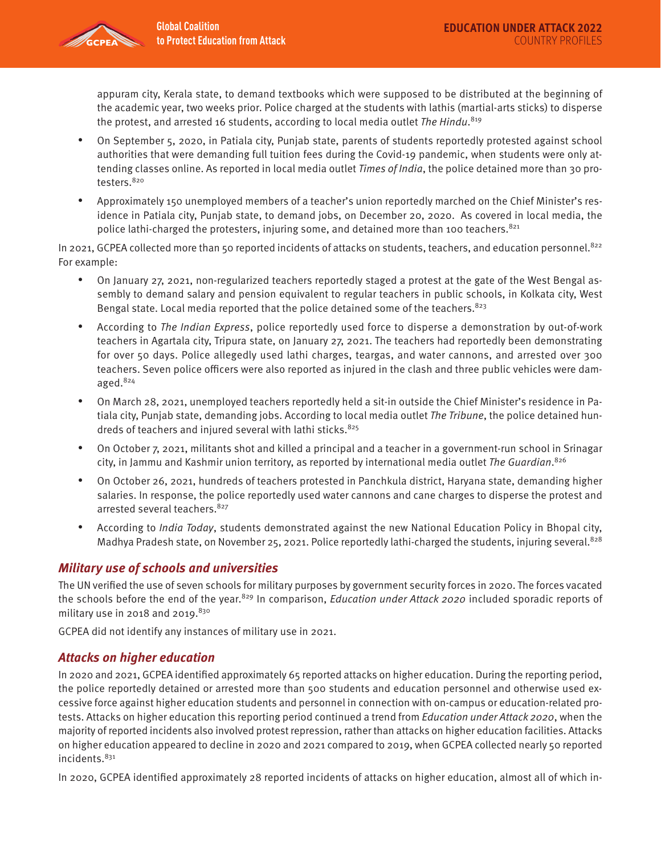

appuram city, Kerala state, to demand textbooks which were supposed to be distributed at the beginning of the academic year, two weeks prior. Police charged at the students with lathis (martial-arts sticks) to disperse the protest, and arrested 16 students, according to local media outlet Th*e Hindu*.<sup>819</sup>

- On September 5, 2020, in Patiala city, Punjab state, parents of students reportedly protested against school authorities that were demanding full tuition fees during the Covid-19 pandemic, when students were only attending classes online. As reported in local media outlet *Times of India*, the police detained more than 30 protesters. 820
- Approximately 150 unemployed members of a teacher's union reportedly marched on the Chief Minister's residence in Patiala city, Punjab state, to demand jobs, on December 20, 2020. As covered in local media, the police lathi-charged the protesters, injuring some, and detained more than 100 teachers.<sup>821</sup>

In 2021, GCPEA collected more than 50 reported incidents of attacks on students, teachers, and education personnel.<sup>822</sup> For example:

- On January 27, 2021, non-regularized teachers reportedly staged a protest at the gate of the West Bengal assembly to demand salary and pension equivalent to regular teachers in public schools, in Kolkata city, West Bengal state. Local media reported that the police detained some of the teachers.<sup>823</sup>
- According to The Indian Express, police reportedly used force to disperse a demonstration by out-of-work teachers in Agartala city, Tripura state, on January 27, 2021. The teachers had reportedly been demonstrating for over 50 days. Police allegedly used lathi charges, teargas, and water cannons, and arrested over 300 teachers. Seven police officers were also reported as injured in the clash and three public vehicles were damaged.824
- On March 28, 2021, unemployed teachers reportedly held a sit-in outside the Chief Minister's residence in Patiala city, Punjab state, demanding jobs. According to local media outlet The Tribune, the police detained hundreds of teachers and injured several with lathi sticks.<sup>825</sup>
- On October 7, 2021, militants shot and killed a principal and a teacher in a government-run school in Srinagar city, in Jammu and Kashmir union territory, as reported by international media outlet The Guardian. 826
- On October 26, 2021, hundreds of teachers protested in Panchkula district, Haryana state, demanding higher salaries. In response, the police reportedly used water cannons and cane charges to disperse the protest and arrested several teachers. 827
- According to *India Today*, students demonstrated against the new National Education Policy in Bhopal city, Madhya Pradesh state, on November 25, 2021. Police reportedly lathi-charged the students, injuring several.<sup>828</sup>

## **Military use of schools and universities**

The UN verified the use of seven schools for military purposes by government security forces in 2020. The forces vacated the schools before the end of the year.<sup>829</sup> In comparison, Education under Attack 2020 included sporadic reports of military use in 2018 and 2019. $830$ 

GCPEA did not identify any instances of military use in 2021.

#### **Attacks on higher education**

In 2020 and 2021, GCPEA identified approximately 65 reported attacks on higher education. During the reporting period, the police reportedly detained or arrested more than 500 students and education personnel and otherwise used excessive force against higher education students and personnel in connection with on-campus or education-related protests. Attacks on higher education this reporting period continued a trend from Education under Attack 2020, when the majority of reported incidents also involved protest repression, rather than attacks on higher education facilities. Attacks on higher education appeared to decline in 2020 and 2021 compared to 2019, when GCPEA collected nearly 50 reported incidents.<sup>831</sup>

In 2020, GCPEA identified approximately 28 reported incidents of attacks on higher education, almost all of which in-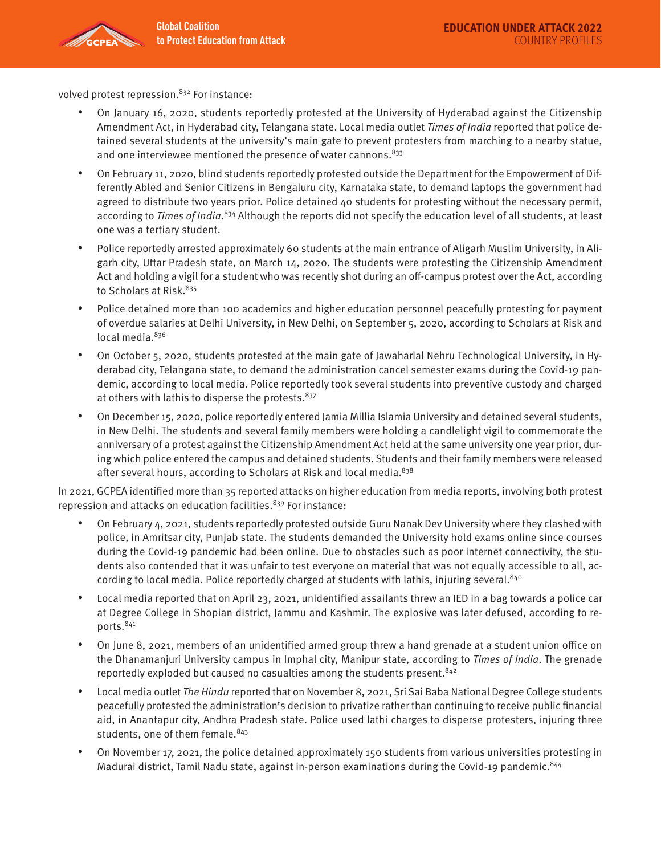volved protest repression.<sup>832</sup> For instance:

- On January 16, 2020, students reportedly protested at the University of Hyderabad against the Citizenship Amendment Act, in Hyderabad city, Telangana state. Local media outlet Times of India reported that police detained several students at the university's main gate to prevent protesters from marching to a nearby statue, and one interviewee mentioned the presence of water cannons. 833
- On February 11, 2020, blind students reportedly protested outside the Department for the Empowerment of Differently Abled and Senior Citizens in Bengaluru city, Karnataka state, to demand laptops the government had agreed to distribute two years prior. Police detained 40 students for protesting without the necessary permit, according to Times of India.<sup>834</sup> Although the reports did not specify the education level of all students, at least one was a tertiary student.
- Police reportedly arrested approximately 60 students at the main entrance of Aligarh Muslim University, in Aligarh city, Uttar Pradesh state, on March 14, 2020. The students were protesting the Citizenship Amendment Act and holding a vigil for a student who was recently shot during an off-campus protest over the Act, according to Scholars at Risk.<sup>835</sup>
- Police detained more than 100 academics and higher education personnel peacefully protesting for payment of overdue salaries at Delhi University, in New Delhi, on September 5, 2020, according to Scholars at Risk and local media.<sup>836</sup>
- On October 5, 2020, students protested at the main gate of Jawaharlal Nehru Technological University, in Hyderabad city, Telangana state, to demand the administration cancel semester exams during the Covid-19 pandemic, according to local media. Police reportedly took several students into preventive custody and charged at others with lathis to disperse the protests. 837
- On December 15, 2020, police reportedly entered Jamia Millia Islamia University and detained several students, in New Delhi. The students and several family members were holding a candlelight vigil to commemorate the anniversary of a protest against the Citizenship Amendment Act held at the same university one year prior, during which police entered the campus and detained students. Students and their family members were released after several hours, according to Scholars at Risk and local media. $838$

In 2021, GCPEA identified more than 35 reported attacks on higher education from media reports, involving both protest repression and attacks on education facilities.<sup>839</sup> For instance:

- On February 4, 2021, students reportedly protested outside Guru Nanak Dev University where they clashed with police, in Amritsar city, Punjab state. The students demanded the University hold exams online since courses during the Covid-19 pandemic had been online. Due to obstacles such as poor internet connectivity, the students also contended that it was unfair to test everyone on material that was not equally accessible to all, according to local media. Police reportedly charged at students with lathis, injuring several.<sup>840</sup>
- Local media reported that on April 23, 2021, unidentified assailants threw an IED in a bag towards a police car at Degree College in Shopian district, Jammu and Kashmir. The explosive was later defused, according to reports.841
- On June 8, 2021, members of an unidentified armed group threw a hand grenade at a student union office on the Dhanamanjuri University campus in Imphal city, Manipur state, according to Times of India. The grenade reportedly exploded but caused no casualties among the students present.<sup>842</sup>
- Local media outlet The Hindu reported that on November 8, 2021, Sri Sai Baba National Degree College students peacefully protested the administration's decision to privatize rather than continuing to receive public financial aid, in Anantapur city, Andhra Pradesh state. Police used lathi charges to disperse protesters, injuring three students, one of them female. 843
- On November 17, 2021, the police detained approximately 150 students from various universities protesting in Madurai district, Tamil Nadu state, against in-person examinations during the Covid-19 pandemic.<sup>844</sup>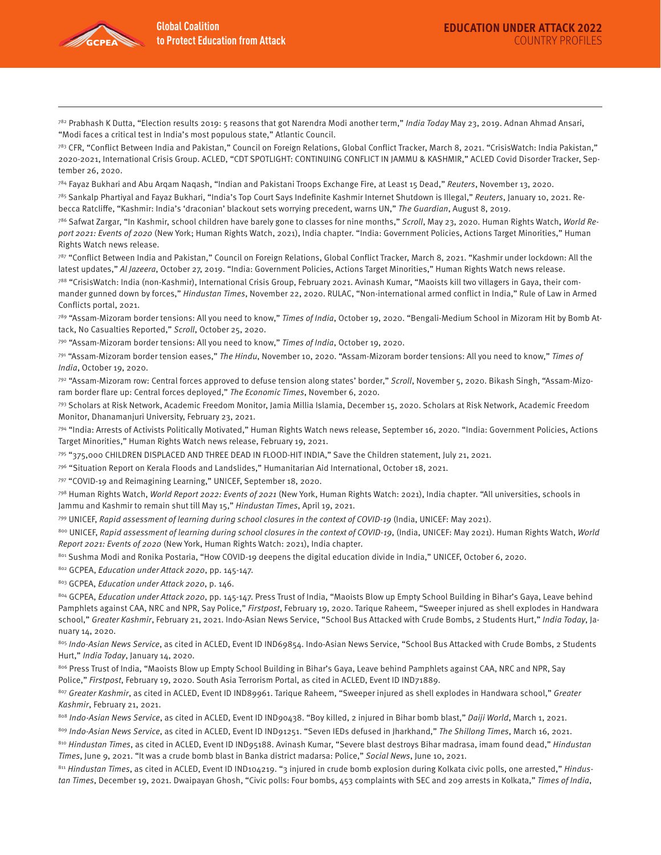

 $782$  Prabhash K Dutta, "Election results 2019: 5 reasons that got Narendra Modi another term," India Today May 23, 2019. Adnan Ahmad Ansari, "Modi faces a critical test in India's most populous state," Atlantic Council.

<sup>783</sup> CFR, "Conflict Between India and Pakistan," Council on Foreign Relations, Global Conflict Tracker, March 8, 2021. "CrisisWatch: India Pakistan," 2020-2021, International Crisis Group. ACLED, "CDT SPOTLIGHT: CONTINUING CONFLICT IN JAMMU & KASHMIR," ACLED Covid Disorder Tracker, September 26, 2020.

<sup>784</sup> Fayaz Bukhari and Abu Arqam Naqash, "Indian and Pakistani Troops Exchange Fire, at Least 15 Dead," Reuters, November 13, 2020.

785 Sankalp Phartiyal and Fayaz Bukhari, "India's Top Court Says Indefinite Kashmir Internet Shutdown is Illegal," Reuters, January 10, 2021. Rebecca Ratcliffe, "Kashmir: India's 'draconian' blackout sets worrying precedent, warns UN," The Guardian, August 8, 2019.

786 Safwat Zargar, "In Kashmir, school children have barely gone to classes for nine months," Scroll, May 23, 2020. Human Rights Watch, World Report 2021: Events of 2020 (New York; Human Rights Watch, 2021), India chapter. "India: Government Policies, Actions Target Minorities," Human Rights Watch news release.

787 "Conflict Between India and Pakistan," Council on Foreign Relations, Global Conflict Tracker, March 8, 2021. "Kashmir under lockdown: All the latest updates," Al Jazeera, October 27, 2019. "India: Government Policies, Actions Target Minorities," Human Rights Watch news release.

788 "CrisisWatch: India (non-Kashmir), International Crisis Group, February 2021. Avinash Kumar, "Maoists kill two villagers in Gaya, their commander gunned down by forces," Hindustan Times, November 22, 2020. RULAC, "Non-international armed conflict in India," Rule of Law in Armed Conflicts portal, 2021.

789 "Assam-Mizoram border tensions: All you need to know," Times of India, October 19, 2020. "Bengali-Medium School in Mizoram Hit by Bomb Attack, No Casualties Reported," Scroll, October 25, 2020.

790 "Assam-Mizoram border tensions: All you need to know," Times of India, October 19, 2020.

791 "Assam-Mizoram border tension eases," The Hindu, November 10, 2020. "Assam-Mizoram border tensions: All you need to know," Times of India, October 19, 2020.

792 "Assam-Mizoram row: Central forces approved to defuse tension along states' border," Scroll, November 5, 2020. Bikash Singh, "Assam-Mizoram border flare up: Central forces deployed," The Economic Times, November 6, 2020.

793 Scholars at Risk Network, Academic Freedom Monitor, Jamia Millia Islamia, December 15, 2020. Scholars at Risk Network, Academic Freedom Monitor, Dhanamanjuri University, February 23, 2021.

794 "India: Arrests of Activists Politically Motivated," Human Rights Watch news release, September 16, 2020. "India: Government Policies, Actions Target Minorities," Human Rights Watch news release, February 19, 2021.

795 "375,000 CHILDREN DISPLACED AND THREE DEAD IN FLOOD-HIT INDIA," Save the Children statement, July 21, 2021.

796 "Situation Report on Kerala Floods and Landslides," Humanitarian Aid International, October 18, 2021.

797 "COVID-19 and Reimagining Learning," UNICEF, September 18, 2020.

798 Human Rights Watch, World Report 2022: Events of 2021 (New York, Human Rights Watch: 2021), India chapter. "All universities, schools in Jammu and Kashmir to remain shut till May 15," Hindustan Times, April 19, 2021.

799 UNICEF, Rapid assessment of learning during school closures in the context of COVID-19 (India, UNICEF: May 2021).

800 UNICEF, Rapid assessment of learning during school closures in the context of COVID-19, (India, UNICEF: May 2021). Human Rights Watch, World Report 2021: Events of 2020 (New York, Human Rights Watch: 2021), India chapter.

801 Sushma Modi and Ronika Postaria, "How COVID-19 deepens the digital education divide in India," UNICEF, October 6, 2020.

802 GCPEA, Education under Attack 2020, pp. 145-147.

803 GCPEA, Education under Attack 2020, p. 146.

804 GCPEA, Education under Attack 2020, pp. 145-147. Press Trust of India, "Maoists Blow up Empty School Building in Bihar's Gaya, Leave behind Pamphlets against CAA, NRC and NPR, Say Police," Firstpost, February 19, 2020. Tarique Raheem, "Sweeper injured as shell explodes in Handwara school," Greater Kashmir, February 21, 2021. Indo-Asian News Service, "School Bus Attacked with Crude Bombs, 2 Students Hurt," India Today, January 14, 2020.

805 Indo-Asian News Service, as cited in ACLED, Event ID IND69854. Indo-Asian News Service, "School Bus Attacked with Crude Bombs, 2 Students Hurt," India Today, January 14, 2020.

806 Press Trust of India, "Maoists Blow up Empty School Building in Bihar's Gaya, Leave behind Pamphlets against CAA, NRC and NPR, Say Police," Firstpost, February 19, 2020. South Asia Terrorism Portal, as cited in ACLED, Event ID IND71889.

807 Greater Kashmir, as cited in ACLED, Event ID IND89961. Tarique Raheem, "Sweeper injured as shell explodes in Handwara school," Greater Kashmir, February 21, 2021.

808 Indo-Asian News Service, as cited in ACLED, Event ID IND90438. "Boy killed, 2 injured in Bihar bomb blast," Daiji World, March 1, 2021.

809 Indo-Asian News Service, as cited in ACLED, Event ID IND91251. "Seven IEDs defused in Jharkhand," The Shillong Times, March 16, 2021.

810 Hindustan Times, as cited in ACLED, Event ID IND95188. Avinash Kumar, "Severe blast destroys Bihar madrasa, imam found dead," Hindustan Times, June 9, 2021. "It was a crude bomb blast in Banka district madarsa: Police," Social News, June 10, 2021.

811 Hindustan Times, as cited in ACLED, Event ID IND104219. "3 injured in crude bomb explosion during Kolkata civic polls, one arrested," Hindustan Times, December 19, 2021. Dwaipayan Ghosh, "Civic polls: Four bombs, 453 complaints with SEC and 209 arrests in Kolkata," Times of India,